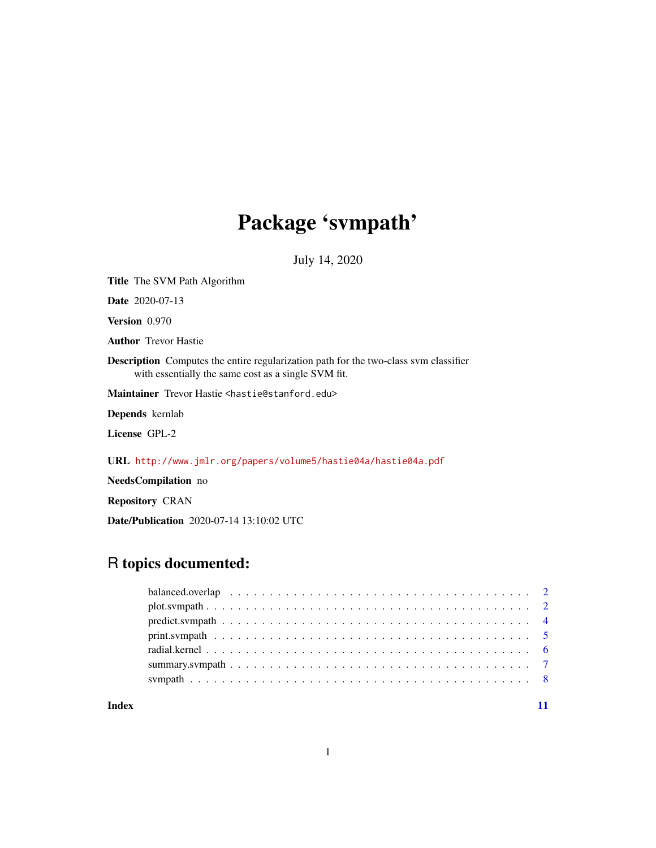# Package 'svmpath'

July 14, 2020

Title The SVM Path Algorithm Date 2020-07-13 Version 0.970 Author Trevor Hastie Description Computes the entire regularization path for the two-class svm classifier with essentially the same cost as a single SVM fit. Maintainer Trevor Hastie <hastie@stanford.edu> Depends kernlab License GPL-2 URL <http://www.jmlr.org/papers/volume5/hastie04a/hastie04a.pdf> NeedsCompilation no

Repository CRAN

Date/Publication 2020-07-14 13:10:02 UTC

# R topics documented:

#### **Index** [11](#page-10-0)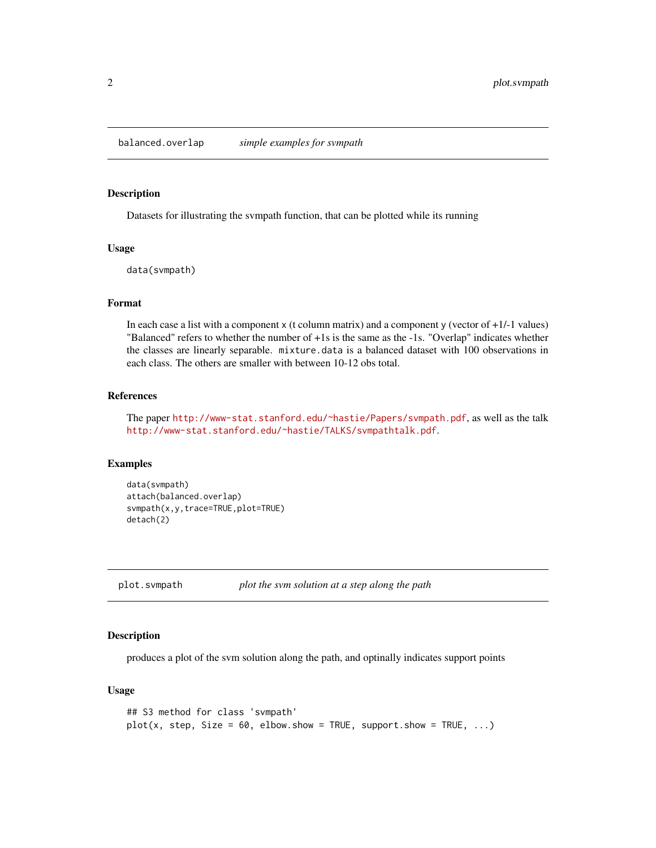<span id="page-1-0"></span>balanced.overlap *simple examples for svmpath*

### Description

Datasets for illustrating the svmpath function, that can be plotted while its running

#### Usage

data(svmpath)

### Format

In each case a list with a component  $x$  (t column matrix) and a component  $y$  (vector of  $+1/-1$  values) "Balanced" refers to whether the number of +1s is the same as the -1s. "Overlap" indicates whether the classes are linearly separable. mixture.data is a balanced dataset with 100 observations in each class. The others are smaller with between 10-12 obs total.

### References

The paper <http://www-stat.stanford.edu/~hastie/Papers/svmpath.pdf>, as well as the talk <http://www-stat.stanford.edu/~hastie/TALKS/svmpathtalk.pdf>.

#### Examples

```
data(svmpath)
attach(balanced.overlap)
svmpath(x,y,trace=TRUE,plot=TRUE)
detach(2)
```
plot.svmpath *plot the svm solution at a step along the path*

# **Description**

produces a plot of the svm solution along the path, and optinally indicates support points

#### Usage

```
## S3 method for class 'svmpath'
plot(x, step, Size = 60, elbow.show = TRUE, support.show = TRUE, ...)
```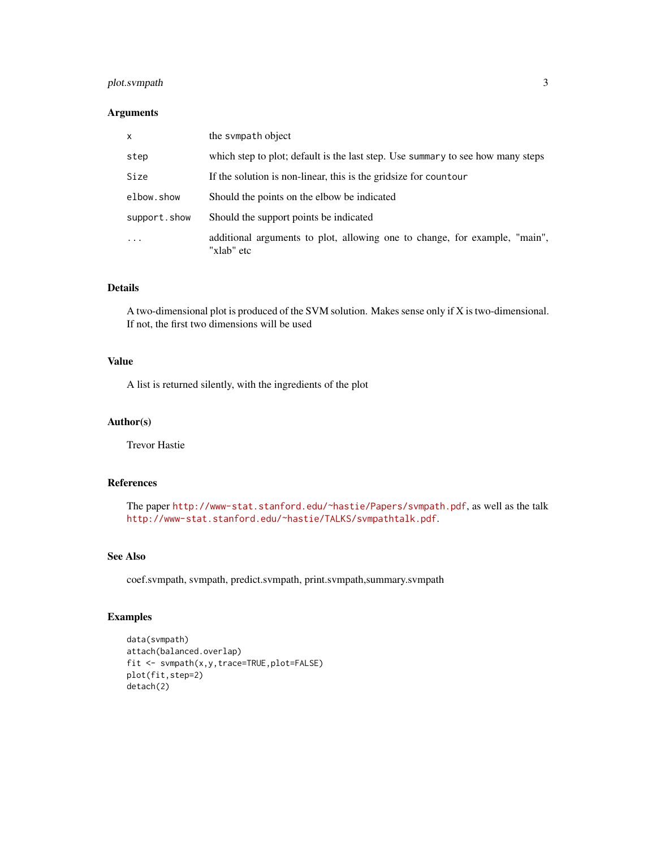# plot.svmpath 3

### Arguments

| $\mathsf{x}$ | the sympath object                                                                       |
|--------------|------------------------------------------------------------------------------------------|
| step         | which step to plot; default is the last step. Use summary to see how many steps          |
| Size         | If the solution is non-linear, this is the gridsize for countour                         |
| elbow.show   | Should the points on the elbow be indicated                                              |
| support.show | Should the support points be indicated                                                   |
| $\ddotsc$    | additional arguments to plot, allowing one to change, for example, "main",<br>"xlab" etc |

# Details

A two-dimensional plot is produced of the SVM solution. Makes sense only if X is two-dimensional. If not, the first two dimensions will be used

# Value

A list is returned silently, with the ingredients of the plot

# Author(s)

Trevor Hastie

# References

The paper <http://www-stat.stanford.edu/~hastie/Papers/svmpath.pdf>, as well as the talk <http://www-stat.stanford.edu/~hastie/TALKS/svmpathtalk.pdf>.

#### See Also

coef.svmpath, svmpath, predict.svmpath, print.svmpath,summary.svmpath

# Examples

```
data(svmpath)
attach(balanced.overlap)
fit <- svmpath(x,y,trace=TRUE,plot=FALSE)
plot(fit,step=2)
detach(2)
```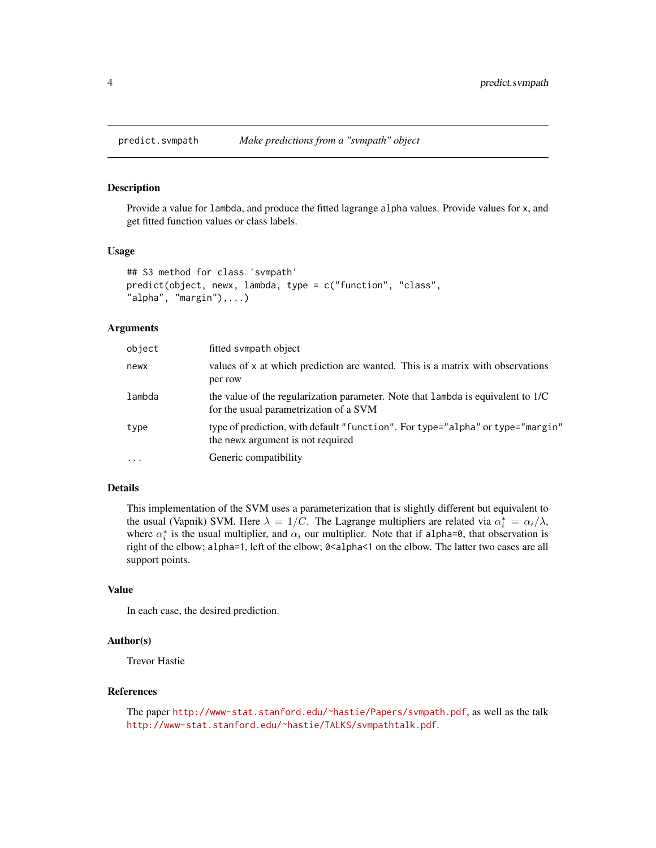<span id="page-3-0"></span>

# **Description**

Provide a value for lambda, and produce the fitted lagrange alpha values. Provide values for x, and get fitted function values or class labels.

#### Usage

```
## S3 method for class 'svmpath'
predict(object, newx, lambda, type = c("function", "class",
"alpha", "margin"),...)
```
#### Arguments

| object    | fitted sympath object                                                                                                      |
|-----------|----------------------------------------------------------------------------------------------------------------------------|
| newx      | values of x at which prediction are wanted. This is a matrix with observations<br>per row                                  |
| lambda    | the value of the regularization parameter. Note that lambda is equivalent to 1/C<br>for the usual parametrization of a SVM |
| type      | type of prediction, with default "function". For type="alpha" or type="margin"<br>the news argument is not required        |
| $\ddotsc$ | Generic compatibility                                                                                                      |

#### Details

This implementation of the SVM uses a parameterization that is slightly different but equivalent to the usual (Vapnik) SVM. Here  $\lambda = 1/C$ . The Lagrange multipliers are related via  $\alpha_i^* = \alpha_i/\lambda$ , where  $\alpha_i^*$  is the usual multiplier, and  $\alpha_i$  our multiplier. Note that if alpha=0, that observation is right of the elbow; alpha=1, left of the elbow; 0<alpha<1 on the elbow. The latter two cases are all support points.

### Value

In each case, the desired prediction.

#### Author(s)

Trevor Hastie

#### References

The paper <http://www-stat.stanford.edu/~hastie/Papers/svmpath.pdf>, as well as the talk <http://www-stat.stanford.edu/~hastie/TALKS/svmpathtalk.pdf>.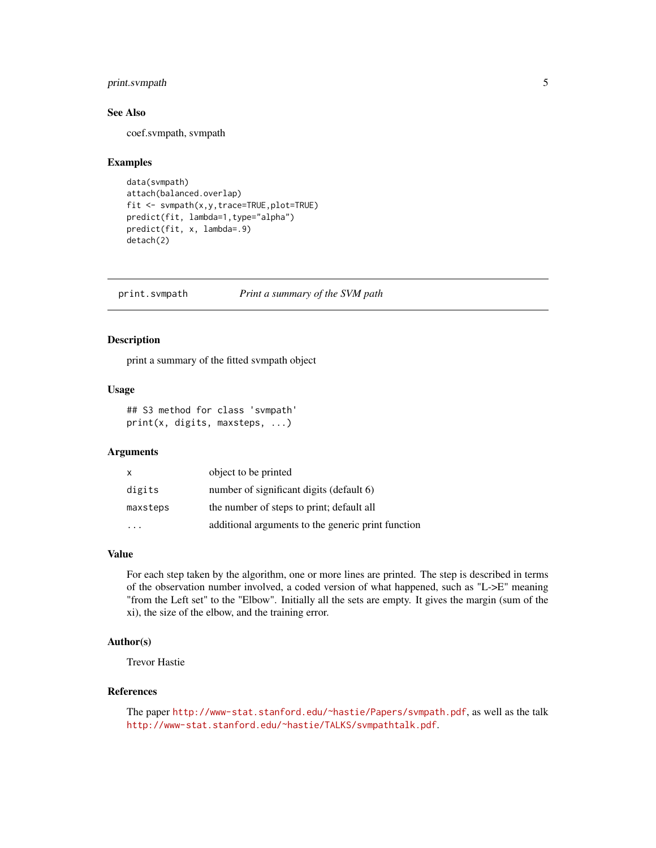# <span id="page-4-0"></span>print.svmpath 5

# See Also

coef.svmpath, svmpath

#### Examples

```
data(svmpath)
attach(balanced.overlap)
fit <- svmpath(x,y,trace=TRUE,plot=TRUE)
predict(fit, lambda=1,type="alpha")
predict(fit, x, lambda=.9)
detach(2)
```
print.svmpath *Print a summary of the SVM path*

#### Description

print a summary of the fitted svmpath object

#### Usage

## S3 method for class 'svmpath' print(x, digits, maxsteps, ...)

#### Arguments

| $\mathsf{x}$ | object to be printed                               |
|--------------|----------------------------------------------------|
| digits       | number of significant digits (default 6)           |
| maxsteps     | the number of steps to print; default all          |
|              | additional arguments to the generic print function |

# Value

For each step taken by the algorithm, one or more lines are printed. The step is described in terms of the observation number involved, a coded version of what happened, such as "L->E" meaning "from the Left set" to the "Elbow". Initially all the sets are empty. It gives the margin (sum of the xi), the size of the elbow, and the training error.

# Author(s)

Trevor Hastie

#### References

The paper <http://www-stat.stanford.edu/~hastie/Papers/svmpath.pdf>, as well as the talk <http://www-stat.stanford.edu/~hastie/TALKS/svmpathtalk.pdf>.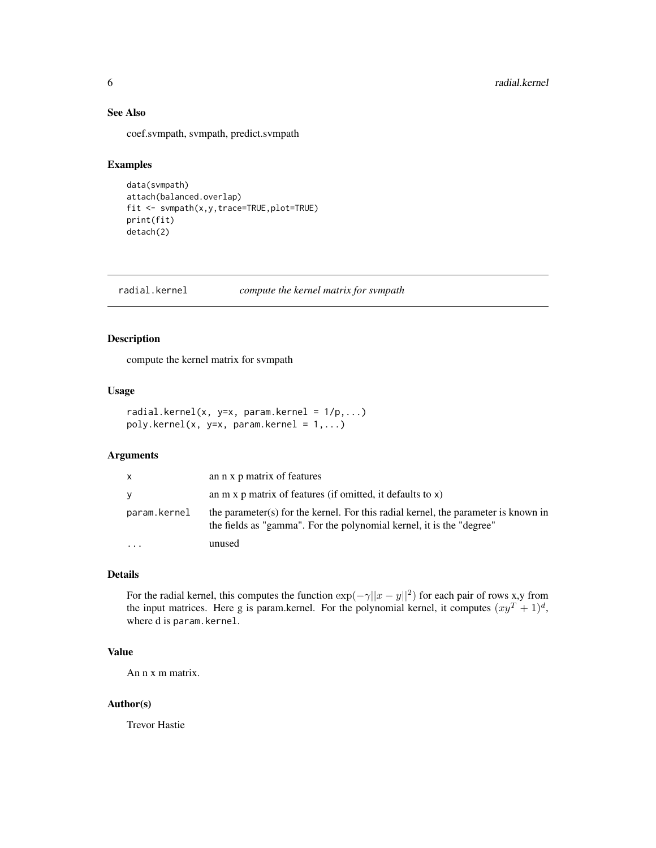# <span id="page-5-0"></span>See Also

coef.svmpath, svmpath, predict.svmpath

# Examples

```
data(svmpath)
attach(balanced.overlap)
fit <- svmpath(x,y,trace=TRUE,plot=TRUE)
print(fit)
detach(2)
```
radial.kernel *compute the kernel matrix for svmpath*

#### Description

compute the kernel matrix for svmpath

### Usage

```
radial.kernel(x, y=x, param.kernel = 1/p,...)
poly.kernel(x, y=x, param.kernel = 1,...)
```
### Arguments

| X            | an n x p matrix of features                                                                                                                                |
|--------------|------------------------------------------------------------------------------------------------------------------------------------------------------------|
| V            | an $m \times p$ matrix of features (if omitted, it defaults to $x$ )                                                                                       |
| param.kernel | the parameter(s) for the kernel. For this radial kernel, the parameter is known in<br>the fields as "gamma". For the polynomial kernel, it is the "degree" |
| $\cdot$      | unused                                                                                                                                                     |

# Details

For the radial kernel, this computes the function  $\exp(-\gamma ||x - y||^2)$  for each pair of rows x,y from the input matrices. Here g is param.kernel. For the polynomial kernel, it computes  $(xy^T + 1)^d$ , where d is param.kernel.

# Value

An n x m matrix.

#### Author(s)

Trevor Hastie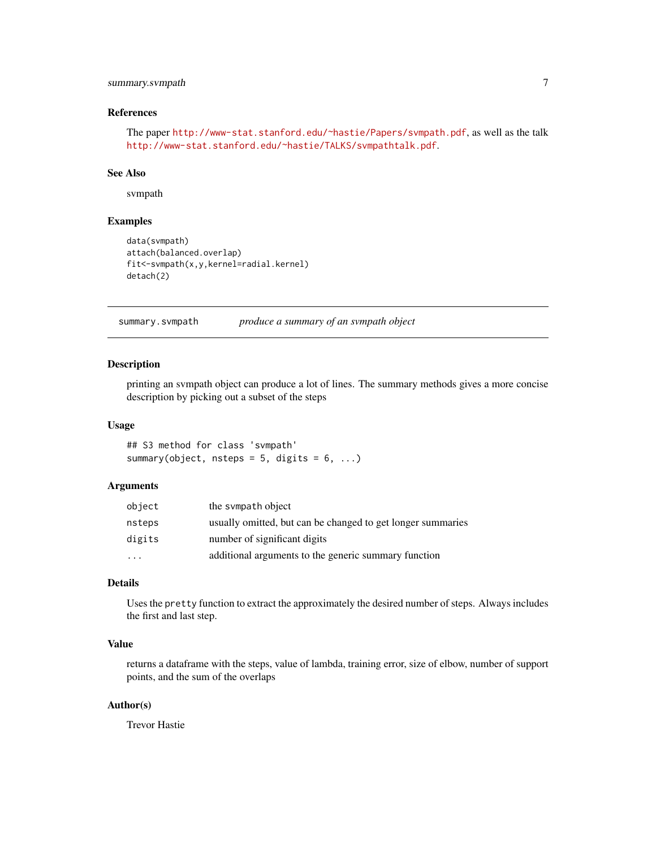# <span id="page-6-0"></span>summary.svmpath 7

# References

The paper <http://www-stat.stanford.edu/~hastie/Papers/svmpath.pdf>, as well as the talk <http://www-stat.stanford.edu/~hastie/TALKS/svmpathtalk.pdf>.

# See Also

svmpath

# Examples

```
data(svmpath)
attach(balanced.overlap)
fit<-svmpath(x,y,kernel=radial.kernel)
detach(2)
```
summary.svmpath *produce a summary of an svmpath object*

# Description

printing an svmpath object can produce a lot of lines. The summary methods gives a more concise description by picking out a subset of the steps

#### Usage

## S3 method for class 'svmpath' summary(object, nsteps =  $5$ , digits =  $6$ , ...)

#### Arguments

| object               | the sympath object                                          |
|----------------------|-------------------------------------------------------------|
| nsteps               | usually omitted, but can be changed to get longer summaries |
| digits               | number of significant digits                                |
| $\ddot{\phantom{0}}$ | additional arguments to the generic summary function        |

#### Details

Uses the pretty function to extract the approximately the desired number of steps. Always includes the first and last step.

### Value

returns a dataframe with the steps, value of lambda, training error, size of elbow, number of support points, and the sum of the overlaps

#### Author(s)

Trevor Hastie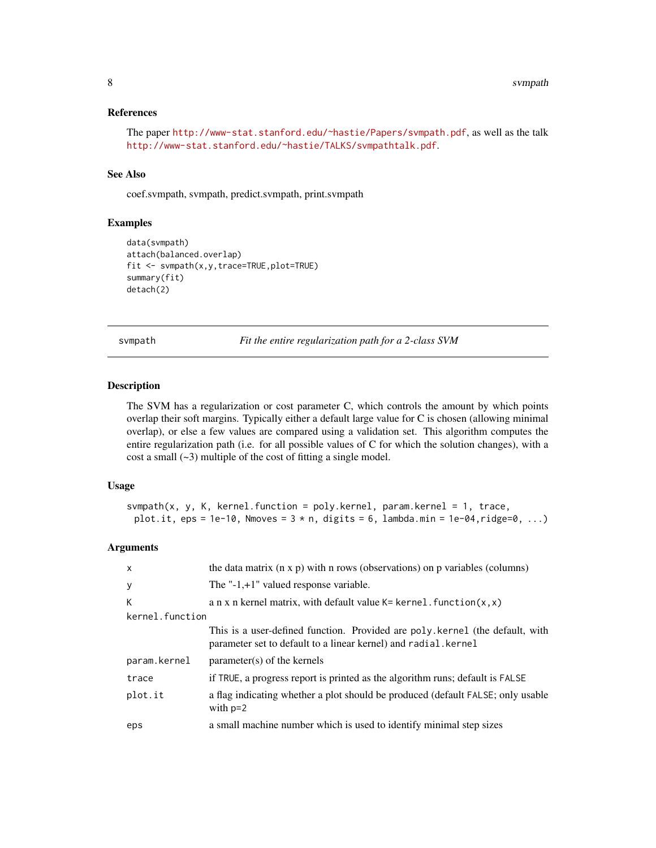# <span id="page-7-0"></span>References

The paper <http://www-stat.stanford.edu/~hastie/Papers/svmpath.pdf>, as well as the talk <http://www-stat.stanford.edu/~hastie/TALKS/svmpathtalk.pdf>.

# See Also

coef.svmpath, svmpath, predict.svmpath, print.svmpath

# Examples

```
data(svmpath)
attach(balanced.overlap)
fit <- svmpath(x,y,trace=TRUE,plot=TRUE)
summary(fit)
detach(2)
```
svmpath *Fit the entire regularization path for a 2-class SVM*

#### Description

The SVM has a regularization or cost parameter C, which controls the amount by which points overlap their soft margins. Typically either a default large value for C is chosen (allowing minimal overlap), or else a few values are compared using a validation set. This algorithm computes the entire regularization path (i.e. for all possible values of C for which the solution changes), with a cost a small  $(-3)$  multiple of the cost of fitting a single model.

#### Usage

```
sympath(x, y, K, kernal-function = poly.kernel, param.kernel = 1, trace,plot.it, eps = 1e-10, Nmoves = 3 * n, digits = 6, lambda.min = 1e-04, ridge=0, ...)
```
#### Arguments

| $\mathsf{x}$    | the data matrix $(n \times p)$ with n rows (observations) on p variables (columns)                                                              |
|-----------------|-------------------------------------------------------------------------------------------------------------------------------------------------|
| y               | The $"$ -1,+1" valued response variable.                                                                                                        |
| К               | a n x n kernel matrix, with default value $K = \text{kernel}.$ function $(x, x)$                                                                |
| kernel.function |                                                                                                                                                 |
|                 | This is a user-defined function. Provided are poly kernel (the default, with<br>parameter set to default to a linear kernel) and radial. kernel |
| param.kernel    | $parameter(s)$ of the kernels                                                                                                                   |
| trace           | if TRUE, a progress report is printed as the algorithm runs; default is FALSE                                                                   |
| plot.it         | a flag indicating whether a plot should be produced (default FALSE; only usable<br>with $p=2$                                                   |
| eps             | a small machine number which is used to identify minimal step sizes                                                                             |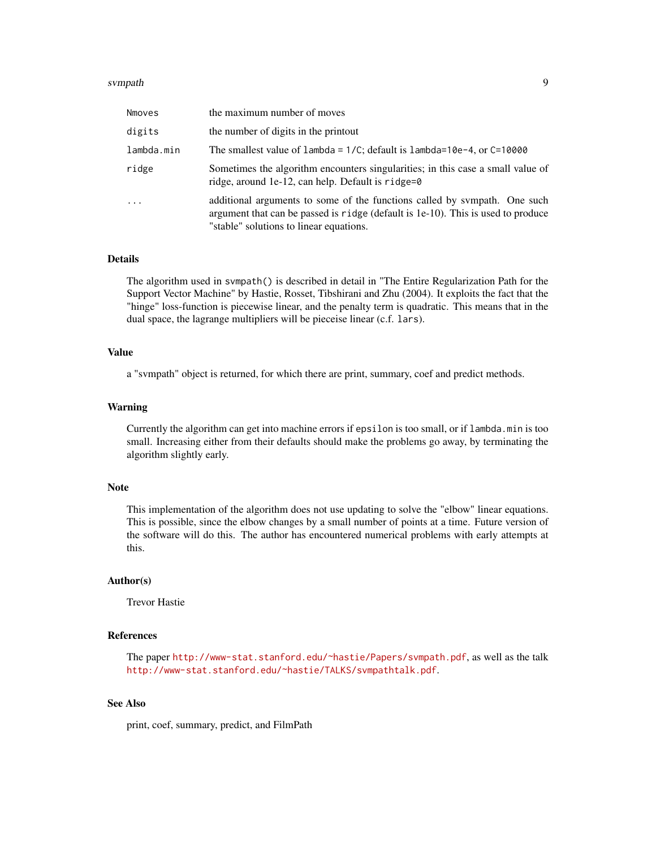#### svmpath 9 and 9 and 9 and 9 and 9 and 9 and 9 and 9 and 9 and 9 and 9 and 9 and 9 and 9 and 9 and 9 and 9 and 9

| Nmoves     | the maximum number of moves                                                                                                                                                                              |
|------------|----------------------------------------------------------------------------------------------------------------------------------------------------------------------------------------------------------|
| digits     | the number of digits in the printout                                                                                                                                                                     |
| lambda.min | The smallest value of $l$ ambda = $1/C$ ; default is $l$ ambda= $10e-4$ , or $C=10000$                                                                                                                   |
| ridge      | Sometimes the algorithm encounters singularities; in this case a small value of<br>ridge, around 1e-12, can help. Default is ridge=0                                                                     |
| $\ddots$ . | additional arguments to some of the functions called by sympath. One such<br>argument that can be passed is ridge (default is 1e-10). This is used to produce<br>"stable" solutions to linear equations. |

# Details

The algorithm used in svmpath() is described in detail in "The Entire Regularization Path for the Support Vector Machine" by Hastie, Rosset, Tibshirani and Zhu (2004). It exploits the fact that the "hinge" loss-function is piecewise linear, and the penalty term is quadratic. This means that in the dual space, the lagrange multipliers will be pieceise linear (c.f. lars).

### Value

a "svmpath" object is returned, for which there are print, summary, coef and predict methods.

#### Warning

Currently the algorithm can get into machine errors if epsilon is too small, or if lambda.min is too small. Increasing either from their defaults should make the problems go away, by terminating the algorithm slightly early.

#### Note

This implementation of the algorithm does not use updating to solve the "elbow" linear equations. This is possible, since the elbow changes by a small number of points at a time. Future version of the software will do this. The author has encountered numerical problems with early attempts at this.

#### Author(s)

Trevor Hastie

# References

The paper <http://www-stat.stanford.edu/~hastie/Papers/svmpath.pdf>, as well as the talk <http://www-stat.stanford.edu/~hastie/TALKS/svmpathtalk.pdf>.

#### See Also

print, coef, summary, predict, and FilmPath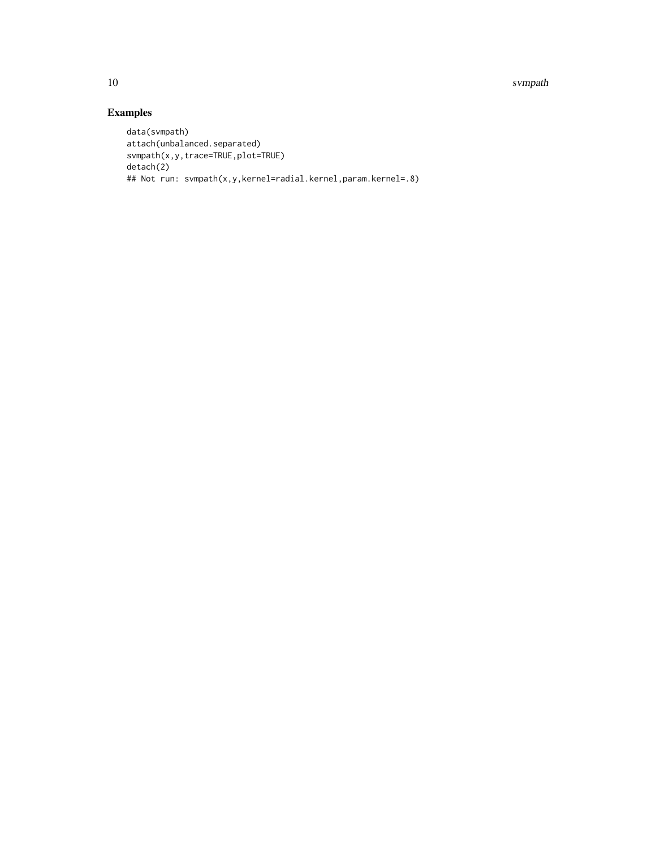10 svmpath

# Examples

```
data(svmpath)
attach(unbalanced.separated)
svmpath(x,y,trace=TRUE,plot=TRUE)
detach(2)
## Not run: svmpath(x,y,kernel=radial.kernel,param.kernel=.8)
```